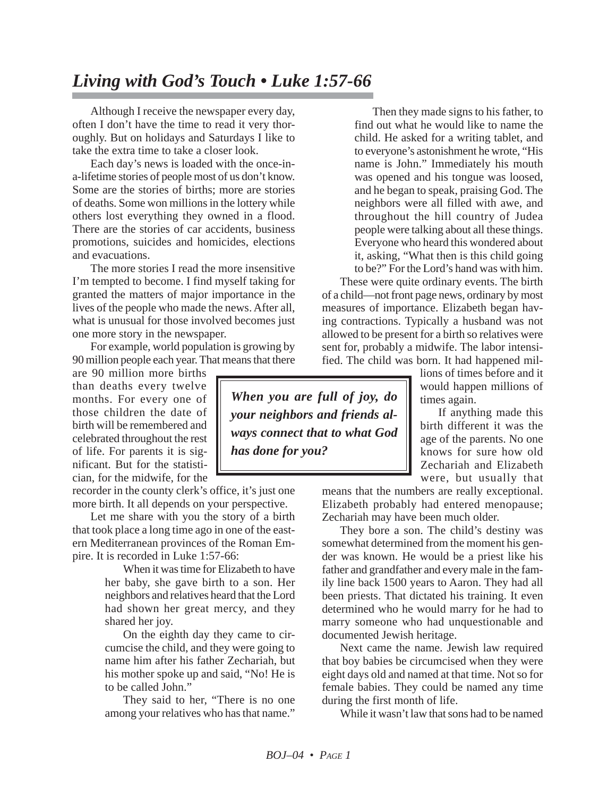## *Living with God's Touch • Luke 1:57-66*

Although I receive the newspaper every day, often I don't have the time to read it very thoroughly. But on holidays and Saturdays I like to take the extra time to take a closer look.

Each day's news is loaded with the once-ina-lifetime stories of people most of us don't know. Some are the stories of births; more are stories of deaths. Some won millions in the lottery while others lost everything they owned in a flood. There are the stories of car accidents, business promotions, suicides and homicides, elections and evacuations.

The more stories I read the more insensitive I'm tempted to become. I find myself taking for granted the matters of major importance in the lives of the people who made the news. After all, what is unusual for those involved becomes just one more story in the newspaper.

For example, world population is growing by 90 million people each year. That means that there

are 90 million more births than deaths every twelve months. For every one of those children the date of birth will be remembered and celebrated throughout the rest of life. For parents it is significant. But for the statistician, for the midwife, for the

recorder in the county clerk's office, it's just one more birth. It all depends on your perspective.

Let me share with you the story of a birth that took place a long time ago in one of the eastern Mediterranean provinces of the Roman Empire. It is recorded in Luke 1:57-66:

When it was time for Elizabeth to have her baby, she gave birth to a son. Her neighbors and relatives heard that the Lord had shown her great mercy, and they shared her joy.

On the eighth day they came to circumcise the child, and they were going to name him after his father Zechariah, but his mother spoke up and said, "No! He is to be called John."

They said to her, "There is no one among your relatives who has that name."

Then they made signs to his father, to find out what he would like to name the child. He asked for a writing tablet, and to everyone's astonishment he wrote, "His name is John." Immediately his mouth was opened and his tongue was loosed, and he began to speak, praising God. The neighbors were all filled with awe, and throughout the hill country of Judea people were talking about all these things. Everyone who heard this wondered about it, asking, "What then is this child going to be?" For the Lord's hand was with him.

These were quite ordinary events. The birth of a child—not front page news, ordinary by most measures of importance. Elizabeth began having contractions. Typically a husband was not allowed to be present for a birth so relatives were sent for, probably a midwife. The labor intensified. The child was born. It had happened mil-

lions of times before and it would happen millions of times again.

If anything made this birth different it was the age of the parents. No one knows for sure how old Zechariah and Elizabeth were, but usually that

means that the numbers are really exceptional. Elizabeth probably had entered menopause; Zechariah may have been much older.

They bore a son. The child's destiny was somewhat determined from the moment his gender was known. He would be a priest like his father and grandfather and every male in the family line back 1500 years to Aaron. They had all been priests. That dictated his training. It even determined who he would marry for he had to marry someone who had unquestionable and documented Jewish heritage.

Next came the name. Jewish law required that boy babies be circumcised when they were eight days old and named at that time. Not so for female babies. They could be named any time during the first month of life.

While it wasn't law that sons had to be named

*When you are full of joy, do your neighbors and friends always connect that to what God has done for you?*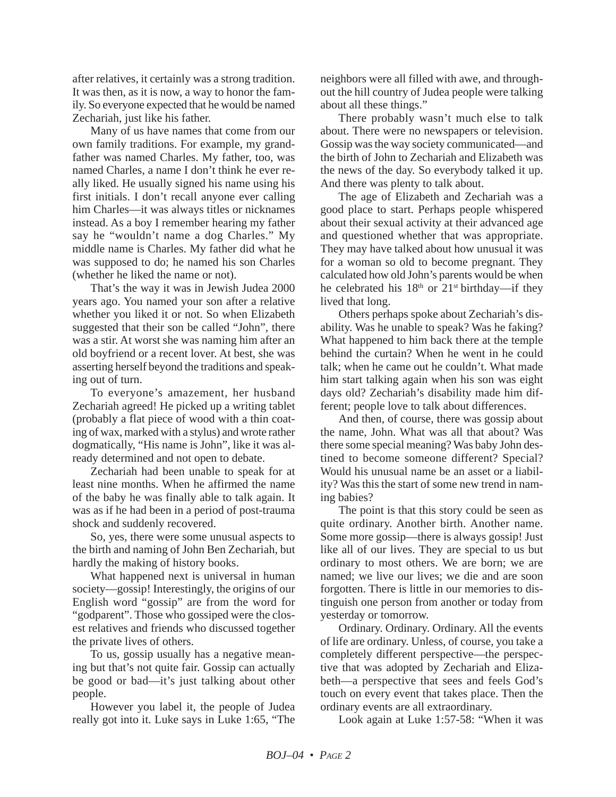after relatives, it certainly was a strong tradition. It was then, as it is now, a way to honor the family. So everyone expected that he would be named Zechariah, just like his father.

Many of us have names that come from our own family traditions. For example, my grandfather was named Charles. My father, too, was named Charles, a name I don't think he ever really liked. He usually signed his name using his first initials. I don't recall anyone ever calling him Charles—it was always titles or nicknames instead. As a boy I remember hearing my father say he "wouldn't name a dog Charles." My middle name is Charles. My father did what he was supposed to do; he named his son Charles (whether he liked the name or not).

That's the way it was in Jewish Judea 2000 years ago. You named your son after a relative whether you liked it or not. So when Elizabeth suggested that their son be called "John", there was a stir. At worst she was naming him after an old boyfriend or a recent lover. At best, she was asserting herself beyond the traditions and speaking out of turn.

To everyone's amazement, her husband Zechariah agreed! He picked up a writing tablet (probably a flat piece of wood with a thin coating of wax, marked with a stylus) and wrote rather dogmatically, "His name is John", like it was already determined and not open to debate.

Zechariah had been unable to speak for at least nine months. When he affirmed the name of the baby he was finally able to talk again. It was as if he had been in a period of post-trauma shock and suddenly recovered.

So, yes, there were some unusual aspects to the birth and naming of John Ben Zechariah, but hardly the making of history books.

What happened next is universal in human society—gossip! Interestingly, the origins of our English word "gossip" are from the word for "godparent". Those who gossiped were the closest relatives and friends who discussed together the private lives of others.

To us, gossip usually has a negative meaning but that's not quite fair. Gossip can actually be good or bad—it's just talking about other people.

However you label it, the people of Judea really got into it. Luke says in Luke 1:65, "The neighbors were all filled with awe, and throughout the hill country of Judea people were talking about all these things."

There probably wasn't much else to talk about. There were no newspapers or television. Gossip was the way society communicated—and the birth of John to Zechariah and Elizabeth was the news of the day. So everybody talked it up. And there was plenty to talk about.

The age of Elizabeth and Zechariah was a good place to start. Perhaps people whispered about their sexual activity at their advanced age and questioned whether that was appropriate. They may have talked about how unusual it was for a woman so old to become pregnant. They calculated how old John's parents would be when he celebrated his  $18<sup>th</sup>$  or  $21<sup>st</sup>$  birthday—if they lived that long.

Others perhaps spoke about Zechariah's disability. Was he unable to speak? Was he faking? What happened to him back there at the temple behind the curtain? When he went in he could talk; when he came out he couldn't. What made him start talking again when his son was eight days old? Zechariah's disability made him different; people love to talk about differences.

And then, of course, there was gossip about the name, John. What was all that about? Was there some special meaning? Was baby John destined to become someone different? Special? Would his unusual name be an asset or a liability? Was this the start of some new trend in naming babies?

The point is that this story could be seen as quite ordinary. Another birth. Another name. Some more gossip—there is always gossip! Just like all of our lives. They are special to us but ordinary to most others. We are born; we are named; we live our lives; we die and are soon forgotten. There is little in our memories to distinguish one person from another or today from yesterday or tomorrow.

Ordinary. Ordinary. Ordinary. All the events of life are ordinary. Unless, of course, you take a completely different perspective—the perspective that was adopted by Zechariah and Elizabeth—a perspective that sees and feels God's touch on every event that takes place. Then the ordinary events are all extraordinary.

Look again at Luke 1:57-58: "When it was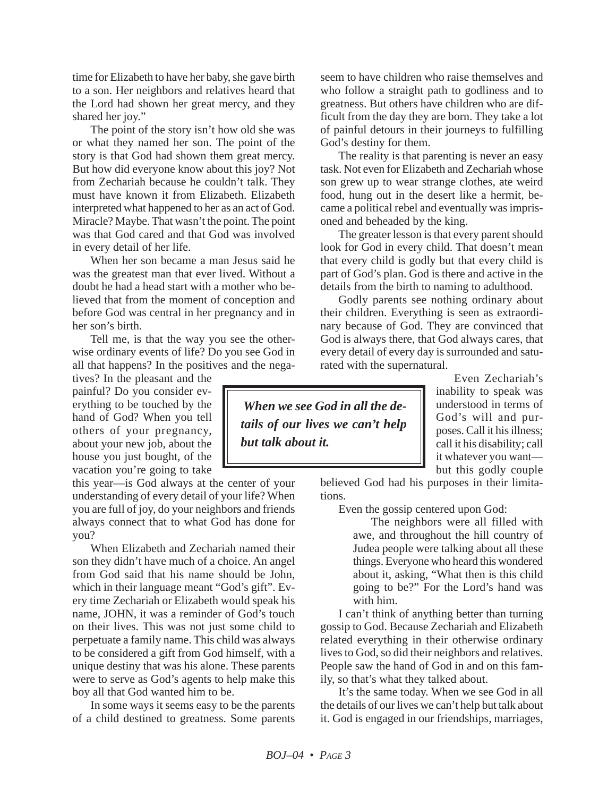time for Elizabeth to have her baby, she gave birth to a son. Her neighbors and relatives heard that the Lord had shown her great mercy, and they shared her joy."

The point of the story isn't how old she was or what they named her son. The point of the story is that God had shown them great mercy. But how did everyone know about this joy? Not from Zechariah because he couldn't talk. They must have known it from Elizabeth. Elizabeth interpreted what happened to her as an act of God. Miracle? Maybe. That wasn't the point. The point was that God cared and that God was involved in every detail of her life.

When her son became a man Jesus said he was the greatest man that ever lived. Without a doubt he had a head start with a mother who believed that from the moment of conception and before God was central in her pregnancy and in her son's birth.

Tell me, is that the way you see the otherwise ordinary events of life? Do you see God in all that happens? In the positives and the nega-

tives? In the pleasant and the painful? Do you consider everything to be touched by the hand of God? When you tell others of your pregnancy, about your new job, about the house you just bought, of the vacation you're going to take

this year—is God always at the center of your understanding of every detail of your life? When you are full of joy, do your neighbors and friends always connect that to what God has done for you?

When Elizabeth and Zechariah named their son they didn't have much of a choice. An angel from God said that his name should be John, which in their language meant "God's gift". Every time Zechariah or Elizabeth would speak his name, JOHN, it was a reminder of God's touch on their lives. This was not just some child to perpetuate a family name. This child was always to be considered a gift from God himself, with a unique destiny that was his alone. These parents were to serve as God's agents to help make this boy all that God wanted him to be.

In some ways it seems easy to be the parents of a child destined to greatness. Some parents seem to have children who raise themselves and who follow a straight path to godliness and to greatness. But others have children who are difficult from the day they are born. They take a lot of painful detours in their journeys to fulfilling God's destiny for them.

The reality is that parenting is never an easy task. Not even for Elizabeth and Zechariah whose son grew up to wear strange clothes, ate weird food, hung out in the desert like a hermit, became a political rebel and eventually was imprisoned and beheaded by the king.

The greater lesson is that every parent should look for God in every child. That doesn't mean that every child is godly but that every child is part of God's plan. God is there and active in the details from the birth to naming to adulthood.

Godly parents see nothing ordinary about their children. Everything is seen as extraordinary because of God. They are convinced that God is always there, that God always cares, that every detail of every day is surrounded and saturated with the supernatural.

*When we see God in all the details of our lives we can't help but talk about it.*

Even Zechariah's inability to speak was understood in terms of God's will and purposes. Call it his illness; call it his disability; call it whatever you want but this godly couple

believed God had his purposes in their limitations.

Even the gossip centered upon God:

The neighbors were all filled with awe, and throughout the hill country of Judea people were talking about all these things. Everyone who heard this wondered about it, asking, "What then is this child going to be?" For the Lord's hand was with him.

I can't think of anything better than turning gossip to God. Because Zechariah and Elizabeth related everything in their otherwise ordinary lives to God, so did their neighbors and relatives. People saw the hand of God in and on this family, so that's what they talked about.

It's the same today. When we see God in all the details of our lives we can't help but talk about it. God is engaged in our friendships, marriages,